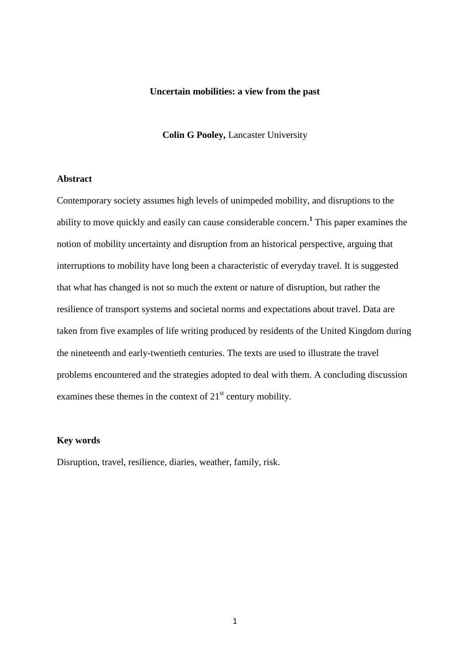## **Uncertain mobilities: a view from the past**

**Colin G Pooley,** Lancaster University

# **Abstract**

Contemporary society assumes high levels of unimpeded mobility, and disruptions to the ability to move quickly and easily can cause considerable concern.**<sup>1</sup>** This paper examines the notion of mobility uncertainty and disruption from an historical perspective, arguing that interruptions to mobility have long been a characteristic of everyday travel. It is suggested that what has changed is not so much the extent or nature of disruption, but rather the resilience of transport systems and societal norms and expectations about travel. Data are taken from five examples of life writing produced by residents of the United Kingdom during the nineteenth and early-twentieth centuries. The texts are used to illustrate the travel problems encountered and the strategies adopted to deal with them. A concluding discussion examines these themes in the context of  $21<sup>st</sup>$  century mobility.

### **Key words**

Disruption, travel, resilience, diaries, weather, family, risk.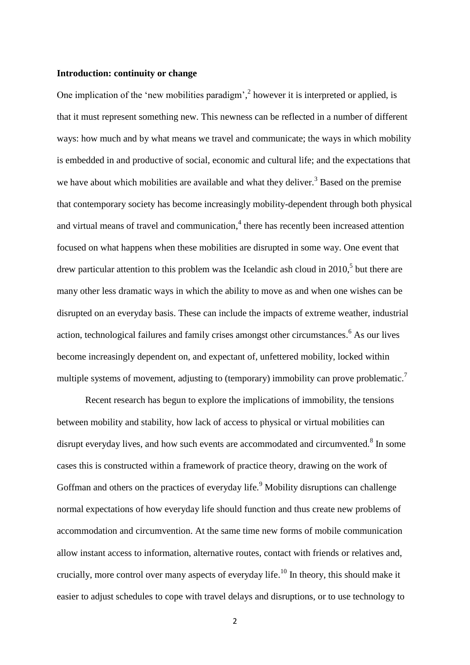# **Introduction: continuity or change**

One implication of the 'new mobilities paradigm',<sup>2</sup> however it is interpreted or applied, is that it must represent something new. This newness can be reflected in a number of different ways: how much and by what means we travel and communicate; the ways in which mobility is embedded in and productive of social, economic and cultural life; and the expectations that we have about which mobilities are available and what they deliver.<sup>3</sup> Based on the premise that contemporary society has become increasingly mobility-dependent through both physical and virtual means of travel and communication, 4 there has recently been increased attention focused on what happens when these mobilities are disrupted in some way. One event that drew particular attention to this problem was the Icelandic ash cloud in  $2010<sup>5</sup>$  but there are many other less dramatic ways in which the ability to move as and when one wishes can be disrupted on an everyday basis. These can include the impacts of extreme weather, industrial action, technological failures and family crises amongst other circumstances. <sup>6</sup> As our lives become increasingly dependent on, and expectant of, unfettered mobility, locked within multiple systems of movement, adjusting to (temporary) immobility can prove problematic.<sup>7</sup>

Recent research has begun to explore the implications of immobility, the tensions between mobility and stability, how lack of access to physical or virtual mobilities can disrupt everyday lives, and how such events are accommodated and circumvented. $8$  In some cases this is constructed within a framework of practice theory, drawing on the work of Goffman and others on the practices of everyday life.<sup>9</sup> Mobility disruptions can challenge normal expectations of how everyday life should function and thus create new problems of accommodation and circumvention. At the same time new forms of mobile communication allow instant access to information, alternative routes, contact with friends or relatives and, crucially, more control over many aspects of everyday life.<sup>10</sup> In theory, this should make it easier to adjust schedules to cope with travel delays and disruptions, or to use technology to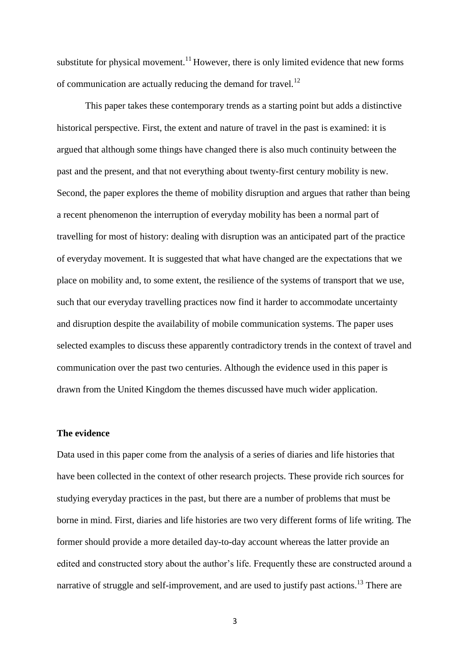substitute for physical movement.<sup>11</sup> However, there is only limited evidence that new forms of communication are actually reducing the demand for travel. $12$ 

This paper takes these contemporary trends as a starting point but adds a distinctive historical perspective. First, the extent and nature of travel in the past is examined: it is argued that although some things have changed there is also much continuity between the past and the present, and that not everything about twenty-first century mobility is new. Second, the paper explores the theme of mobility disruption and argues that rather than being a recent phenomenon the interruption of everyday mobility has been a normal part of travelling for most of history: dealing with disruption was an anticipated part of the practice of everyday movement. It is suggested that what have changed are the expectations that we place on mobility and, to some extent, the resilience of the systems of transport that we use, such that our everyday travelling practices now find it harder to accommodate uncertainty and disruption despite the availability of mobile communication systems. The paper uses selected examples to discuss these apparently contradictory trends in the context of travel and communication over the past two centuries. Although the evidence used in this paper is drawn from the United Kingdom the themes discussed have much wider application.

#### **The evidence**

Data used in this paper come from the analysis of a series of diaries and life histories that have been collected in the context of other research projects. These provide rich sources for studying everyday practices in the past, but there are a number of problems that must be borne in mind. First, diaries and life histories are two very different forms of life writing. The former should provide a more detailed day-to-day account whereas the latter provide an edited and constructed story about the author's life. Frequently these are constructed around a narrative of struggle and self-improvement, and are used to justify past actions.<sup>13</sup> There are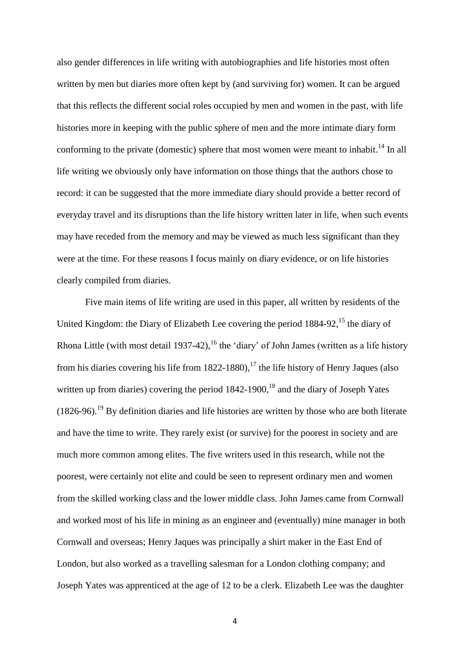also gender differences in life writing with autobiographies and life histories most often written by men but diaries more often kept by (and surviving for) women. It can be argued that this reflects the different social roles occupied by men and women in the past, with life histories more in keeping with the public sphere of men and the more intimate diary form conforming to the private (domestic) sphere that most women were meant to inhabit.<sup>14</sup> In all life writing we obviously only have information on those things that the authors chose to record: it can be suggested that the more immediate diary should provide a better record of everyday travel and its disruptions than the life history written later in life, when such events may have receded from the memory and may be viewed as much less significant than they were at the time. For these reasons I focus mainly on diary evidence, or on life histories clearly compiled from diaries.

Five main items of life writing are used in this paper, all written by residents of the United Kingdom: the Diary of Elizabeth Lee covering the period  $1884-92$ , <sup>15</sup> the diary of Rhona Little (with most detail 1937-42),<sup>16</sup> the 'diary' of John James (written as a life history from his diaries covering his life from  $1822-1880$ ,<sup>17</sup> the life history of Henry Jaques (also written up from diaries) covering the period  $1842-1900$ , <sup>18</sup> and the diary of Joseph Yates  $(1826-96)$ .<sup>19</sup> By definition diaries and life histories are written by those who are both literate and have the time to write. They rarely exist (or survive) for the poorest in society and are much more common among elites. The five writers used in this research, while not the poorest, were certainly not elite and could be seen to represent ordinary men and women from the skilled working class and the lower middle class. John James came from Cornwall and worked most of his life in mining as an engineer and (eventually) mine manager in both Cornwall and overseas; Henry Jaques was principally a shirt maker in the East End of London, but also worked as a travelling salesman for a London clothing company; and Joseph Yates was apprenticed at the age of 12 to be a clerk. Elizabeth Lee was the daughter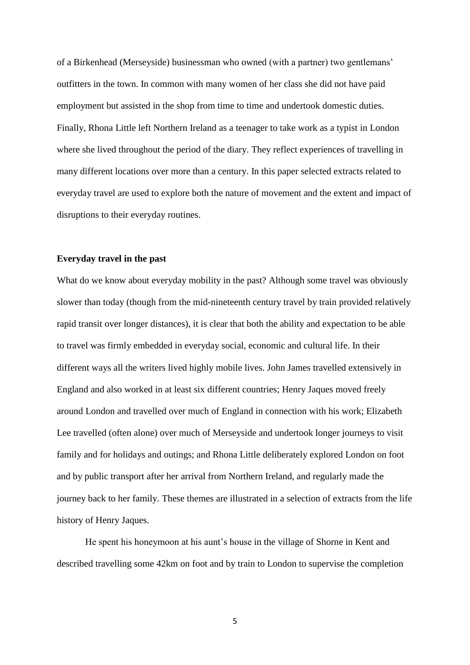of a Birkenhead (Merseyside) businessman who owned (with a partner) two gentlemans' outfitters in the town. In common with many women of her class she did not have paid employment but assisted in the shop from time to time and undertook domestic duties. Finally, Rhona Little left Northern Ireland as a teenager to take work as a typist in London where she lived throughout the period of the diary. They reflect experiences of travelling in many different locations over more than a century. In this paper selected extracts related to everyday travel are used to explore both the nature of movement and the extent and impact of disruptions to their everyday routines.

### **Everyday travel in the past**

What do we know about everyday mobility in the past? Although some travel was obviously slower than today (though from the mid-nineteenth century travel by train provided relatively rapid transit over longer distances), it is clear that both the ability and expectation to be able to travel was firmly embedded in everyday social, economic and cultural life. In their different ways all the writers lived highly mobile lives. John James travelled extensively in England and also worked in at least six different countries; Henry Jaques moved freely around London and travelled over much of England in connection with his work; Elizabeth Lee travelled (often alone) over much of Merseyside and undertook longer journeys to visit family and for holidays and outings; and Rhona Little deliberately explored London on foot and by public transport after her arrival from Northern Ireland, and regularly made the journey back to her family. These themes are illustrated in a selection of extracts from the life history of Henry Jaques.

He spent his honeymoon at his aunt's house in the village of Shorne in Kent and described travelling some 42km on foot and by train to London to supervise the completion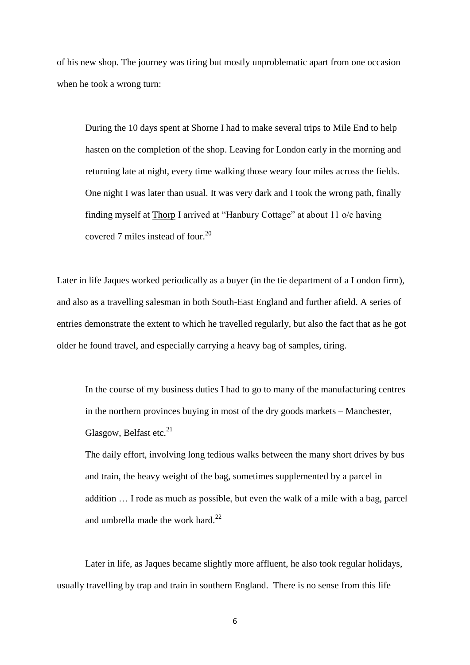of his new shop. The journey was tiring but mostly unproblematic apart from one occasion when he took a wrong turn:

During the 10 days spent at Shorne I had to make several trips to Mile End to help hasten on the completion of the shop. Leaving for London early in the morning and returning late at night, every time walking those weary four miles across the fields. One night I was later than usual. It was very dark and I took the wrong path, finally finding myself at Thorp I arrived at "Hanbury Cottage" at about 11 o/c having covered 7 miles instead of four. $^{20}$ 

Later in life Jaques worked periodically as a buyer (in the tie department of a London firm), and also as a travelling salesman in both South-East England and further afield. A series of entries demonstrate the extent to which he travelled regularly, but also the fact that as he got older he found travel, and especially carrying a heavy bag of samples, tiring.

In the course of my business duties I had to go to many of the manufacturing centres in the northern provinces buying in most of the dry goods markets – Manchester, Glasgow, Belfast etc. $^{21}$ 

The daily effort, involving long tedious walks between the many short drives by bus and train, the heavy weight of the bag, sometimes supplemented by a parcel in addition … I rode as much as possible, but even the walk of a mile with a bag, parcel and umbrella made the work hard.<sup>22</sup>

Later in life, as Jaques became slightly more affluent, he also took regular holidays, usually travelling by trap and train in southern England. There is no sense from this life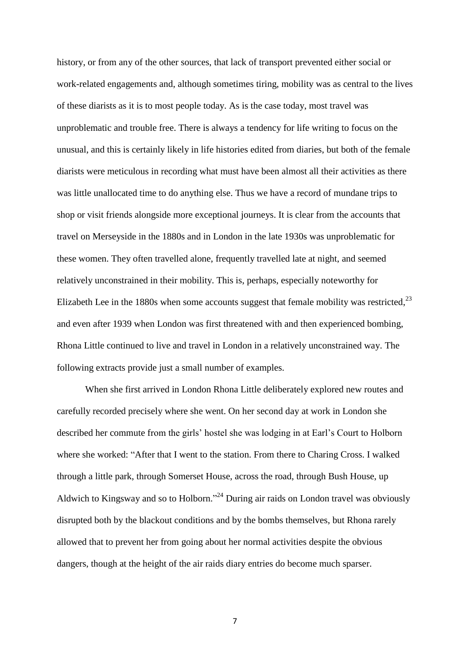history, or from any of the other sources, that lack of transport prevented either social or work-related engagements and, although sometimes tiring, mobility was as central to the lives of these diarists as it is to most people today. As is the case today, most travel was unproblematic and trouble free. There is always a tendency for life writing to focus on the unusual, and this is certainly likely in life histories edited from diaries, but both of the female diarists were meticulous in recording what must have been almost all their activities as there was little unallocated time to do anything else. Thus we have a record of mundane trips to shop or visit friends alongside more exceptional journeys. It is clear from the accounts that travel on Merseyside in the 1880s and in London in the late 1930s was unproblematic for these women. They often travelled alone, frequently travelled late at night, and seemed relatively unconstrained in their mobility. This is, perhaps, especially noteworthy for Elizabeth Lee in the 1880s when some accounts suggest that female mobility was restricted, $^{23}$ and even after 1939 when London was first threatened with and then experienced bombing, Rhona Little continued to live and travel in London in a relatively unconstrained way. The following extracts provide just a small number of examples.

When she first arrived in London Rhona Little deliberately explored new routes and carefully recorded precisely where she went. On her second day at work in London she described her commute from the girls' hostel she was lodging in at Earl's Court to Holborn where she worked: "After that I went to the station. From there to Charing Cross. I walked through a little park, through Somerset House, across the road, through Bush House, up Aldwich to Kingsway and so to Holborn."<sup>24</sup> During air raids on London travel was obviously disrupted both by the blackout conditions and by the bombs themselves, but Rhona rarely allowed that to prevent her from going about her normal activities despite the obvious dangers, though at the height of the air raids diary entries do become much sparser.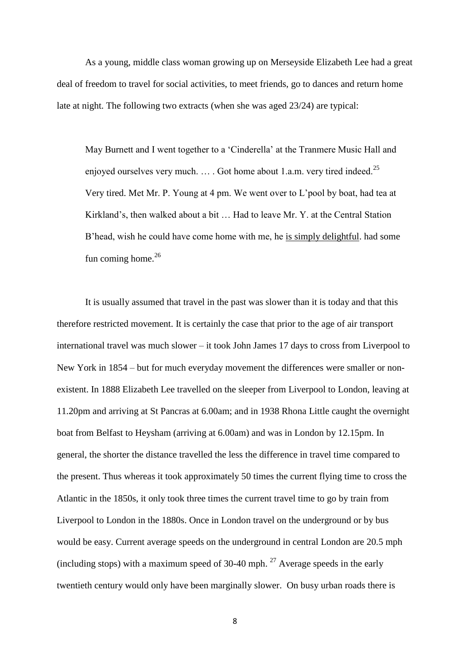As a young, middle class woman growing up on Merseyside Elizabeth Lee had a great deal of freedom to travel for social activities, to meet friends, go to dances and return home late at night. The following two extracts (when she was aged 23/24) are typical:

May Burnett and I went together to a 'Cinderella' at the Tranmere Music Hall and enjoyed ourselves very much. ... Got home about 1.a.m. very tired indeed.<sup>25</sup> Very tired. Met Mr. P. Young at 4 pm. We went over to L'pool by boat, had tea at Kirkland's, then walked about a bit … Had to leave Mr. Y. at the Central Station B'head, wish he could have come home with me, he is simply delightful. had some fun coming home. $26$ 

It is usually assumed that travel in the past was slower than it is today and that this therefore restricted movement. It is certainly the case that prior to the age of air transport international travel was much slower – it took John James 17 days to cross from Liverpool to New York in 1854 – but for much everyday movement the differences were smaller or nonexistent. In 1888 Elizabeth Lee travelled on the sleeper from Liverpool to London, leaving at 11.20pm and arriving at St Pancras at 6.00am; and in 1938 Rhona Little caught the overnight boat from Belfast to Heysham (arriving at 6.00am) and was in London by 12.15pm. In general, the shorter the distance travelled the less the difference in travel time compared to the present. Thus whereas it took approximately 50 times the current flying time to cross the Atlantic in the 1850s, it only took three times the current travel time to go by train from Liverpool to London in the 1880s. Once in London travel on the underground or by bus would be easy. Current average speeds on the underground in central London are 20.5 mph (including stops) with a maximum speed of 30-40 mph.  $27$  Average speeds in the early twentieth century would only have been marginally slower. On busy urban roads there is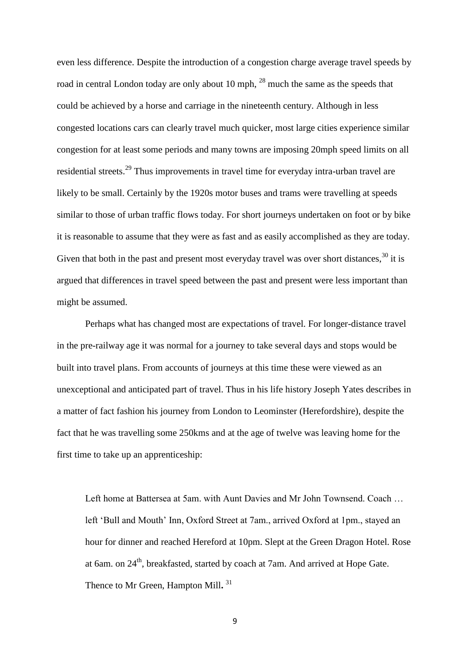even less difference. Despite the introduction of a congestion charge average travel speeds by road in central London today are only about 10 mph,  $^{28}$  much the same as the speeds that could be achieved by a horse and carriage in the nineteenth century. Although in less congested locations cars can clearly travel much quicker, most large cities experience similar congestion for at least some periods and many towns are imposing 20mph speed limits on all residential streets.<sup>29</sup> Thus improvements in travel time for everyday intra-urban travel are likely to be small. Certainly by the 1920s motor buses and trams were travelling at speeds similar to those of urban traffic flows today. For short journeys undertaken on foot or by bike it is reasonable to assume that they were as fast and as easily accomplished as they are today. Given that both in the past and present most everyday travel was over short distances,  $30$  it is argued that differences in travel speed between the past and present were less important than might be assumed.

Perhaps what has changed most are expectations of travel. For longer-distance travel in the pre-railway age it was normal for a journey to take several days and stops would be built into travel plans. From accounts of journeys at this time these were viewed as an unexceptional and anticipated part of travel. Thus in his life history Joseph Yates describes in a matter of fact fashion his journey from London to Leominster (Herefordshire), despite the fact that he was travelling some 250kms and at the age of twelve was leaving home for the first time to take up an apprenticeship:

Left home at Battersea at 5am. with Aunt Davies and Mr John Townsend. Coach … left 'Bull and Mouth' Inn, Oxford Street at 7am., arrived Oxford at 1pm., stayed an hour for dinner and reached Hereford at 10pm. Slept at the Green Dragon Hotel. Rose at 6am. on 24<sup>th</sup>, breakfasted, started by coach at 7am. And arrived at Hope Gate. Thence to Mr Green, Hampton Mill**.** 31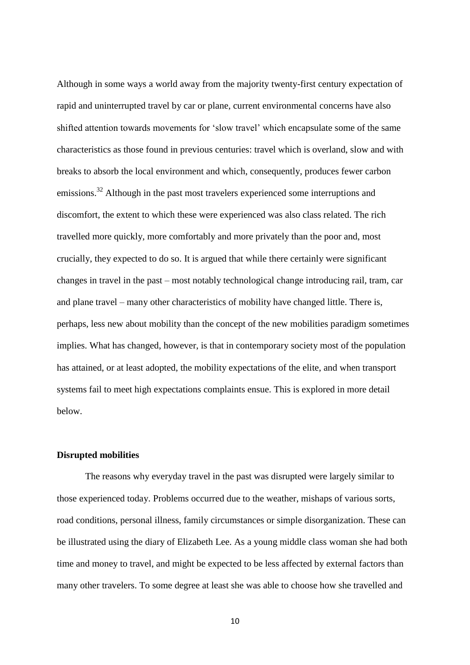Although in some ways a world away from the majority twenty-first century expectation of rapid and uninterrupted travel by car or plane, current environmental concerns have also shifted attention towards movements for 'slow travel' which encapsulate some of the same characteristics as those found in previous centuries: travel which is overland, slow and with breaks to absorb the local environment and which, consequently, produces fewer carbon emissions.<sup>32</sup> Although in the past most travelers experienced some interruptions and discomfort, the extent to which these were experienced was also class related. The rich travelled more quickly, more comfortably and more privately than the poor and, most crucially, they expected to do so. It is argued that while there certainly were significant changes in travel in the past – most notably technological change introducing rail, tram, car and plane travel – many other characteristics of mobility have changed little. There is, perhaps, less new about mobility than the concept of the new mobilities paradigm sometimes implies. What has changed, however, is that in contemporary society most of the population has attained, or at least adopted, the mobility expectations of the elite, and when transport systems fail to meet high expectations complaints ensue. This is explored in more detail below.

#### **Disrupted mobilities**

The reasons why everyday travel in the past was disrupted were largely similar to those experienced today. Problems occurred due to the weather, mishaps of various sorts, road conditions, personal illness, family circumstances or simple disorganization. These can be illustrated using the diary of Elizabeth Lee. As a young middle class woman she had both time and money to travel, and might be expected to be less affected by external factors than many other travelers. To some degree at least she was able to choose how she travelled and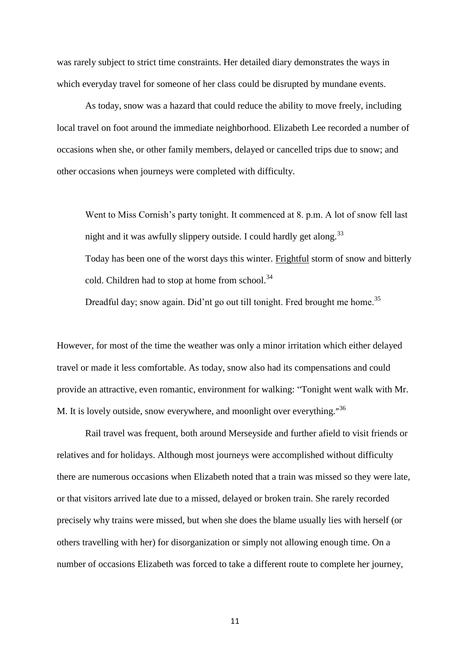was rarely subject to strict time constraints. Her detailed diary demonstrates the ways in which everyday travel for someone of her class could be disrupted by mundane events.

As today, snow was a hazard that could reduce the ability to move freely, including local travel on foot around the immediate neighborhood. Elizabeth Lee recorded a number of occasions when she, or other family members, delayed or cancelled trips due to snow; and other occasions when journeys were completed with difficulty.

Went to Miss Cornish's party tonight. It commenced at 8. p.m. A lot of snow fell last night and it was awfully slippery outside. I could hardly get along.<sup>33</sup> Today has been one of the worst days this winter. Frightful storm of snow and bitterly cold. Children had to stop at home from school.<sup>34</sup>

Dreadful day; snow again. Did'nt go out till tonight. Fred brought me home.<sup>35</sup>

However, for most of the time the weather was only a minor irritation which either delayed travel or made it less comfortable. As today, snow also had its compensations and could provide an attractive, even romantic, environment for walking: "Tonight went walk with Mr. M. It is lovely outside, snow everywhere, and moonlight over everything."<sup>36</sup>

Rail travel was frequent, both around Merseyside and further afield to visit friends or relatives and for holidays. Although most journeys were accomplished without difficulty there are numerous occasions when Elizabeth noted that a train was missed so they were late, or that visitors arrived late due to a missed, delayed or broken train. She rarely recorded precisely why trains were missed, but when she does the blame usually lies with herself (or others travelling with her) for disorganization or simply not allowing enough time. On a number of occasions Elizabeth was forced to take a different route to complete her journey,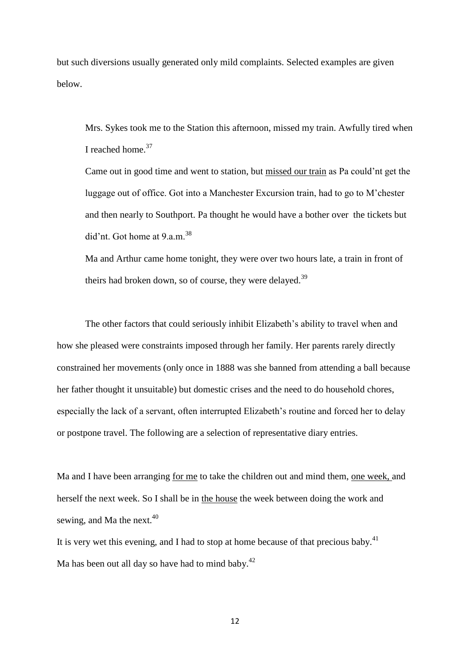but such diversions usually generated only mild complaints. Selected examples are given below.

Mrs. Sykes took me to the Station this afternoon, missed my train. Awfully tired when I reached home.<sup>37</sup>

Came out in good time and went to station, but missed our train as Pa could'nt get the luggage out of office. Got into a Manchester Excursion train, had to go to M'chester and then nearly to Southport. Pa thought he would have a bother over the tickets but did'nt. Got home at  $9.a.m.<sup>38</sup>$ 

Ma and Arthur came home tonight, they were over two hours late, a train in front of theirs had broken down, so of course, they were delayed.<sup>39</sup>

The other factors that could seriously inhibit Elizabeth's ability to travel when and how she pleased were constraints imposed through her family. Her parents rarely directly constrained her movements (only once in 1888 was she banned from attending a ball because her father thought it unsuitable) but domestic crises and the need to do household chores, especially the lack of a servant, often interrupted Elizabeth's routine and forced her to delay or postpone travel. The following are a selection of representative diary entries.

Ma and I have been arranging for me to take the children out and mind them, one week, and herself the next week. So I shall be in the house the week between doing the work and sewing, and Ma the next. $40$ 

It is very wet this evening, and I had to stop at home because of that precious baby.<sup>41</sup> Ma has been out all day so have had to mind baby. $^{42}$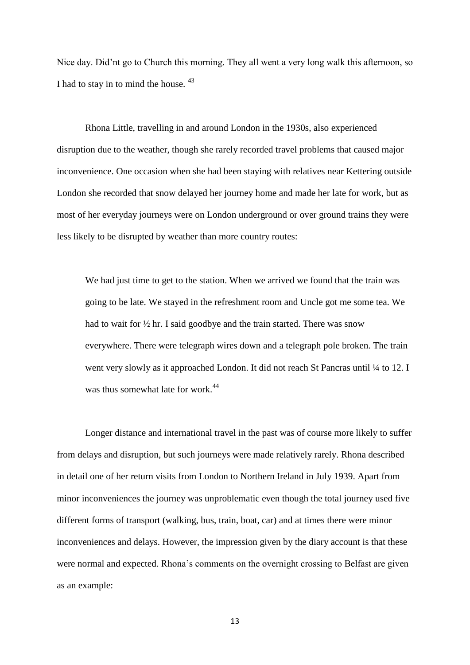Nice day. Did'nt go to Church this morning. They all went a very long walk this afternoon, so I had to stay in to mind the house.  $43$ 

Rhona Little, travelling in and around London in the 1930s, also experienced disruption due to the weather, though she rarely recorded travel problems that caused major inconvenience. One occasion when she had been staying with relatives near Kettering outside London she recorded that snow delayed her journey home and made her late for work, but as most of her everyday journeys were on London underground or over ground trains they were less likely to be disrupted by weather than more country routes:

We had just time to get to the station. When we arrived we found that the train was going to be late. We stayed in the refreshment room and Uncle got me some tea. We had to wait for ½ hr. I said goodbye and the train started. There was snow everywhere. There were telegraph wires down and a telegraph pole broken. The train went very slowly as it approached London. It did not reach St Pancras until  $\frac{1}{4}$  to 12. I was thus somewhat late for work.<sup>44</sup>

Longer distance and international travel in the past was of course more likely to suffer from delays and disruption, but such journeys were made relatively rarely. Rhona described in detail one of her return visits from London to Northern Ireland in July 1939. Apart from minor inconveniences the journey was unproblematic even though the total journey used five different forms of transport (walking, bus, train, boat, car) and at times there were minor inconveniences and delays. However, the impression given by the diary account is that these were normal and expected. Rhona's comments on the overnight crossing to Belfast are given as an example: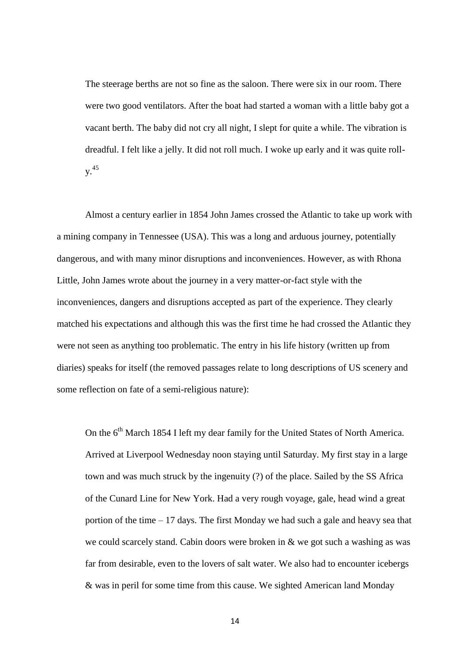The steerage berths are not so fine as the saloon. There were six in our room. There were two good ventilators. After the boat had started a woman with a little baby got a vacant berth. The baby did not cry all night, I slept for quite a while. The vibration is dreadful. I felt like a jelly. It did not roll much. I woke up early and it was quite rolly. 45

Almost a century earlier in 1854 John James crossed the Atlantic to take up work with a mining company in Tennessee (USA). This was a long and arduous journey, potentially dangerous, and with many minor disruptions and inconveniences. However, as with Rhona Little, John James wrote about the journey in a very matter-or-fact style with the inconveniences, dangers and disruptions accepted as part of the experience. They clearly matched his expectations and although this was the first time he had crossed the Atlantic they were not seen as anything too problematic. The entry in his life history (written up from diaries) speaks for itself (the removed passages relate to long descriptions of US scenery and some reflection on fate of a semi-religious nature):

On the 6<sup>th</sup> March 1854 I left my dear family for the United States of North America. Arrived at Liverpool Wednesday noon staying until Saturday. My first stay in a large town and was much struck by the ingenuity (?) of the place. Sailed by the SS Africa of the Cunard Line for New York. Had a very rough voyage, gale, head wind a great portion of the time – 17 days. The first Monday we had such a gale and heavy sea that we could scarcely stand. Cabin doors were broken in & we got such a washing as was far from desirable, even to the lovers of salt water. We also had to encounter icebergs & was in peril for some time from this cause. We sighted American land Monday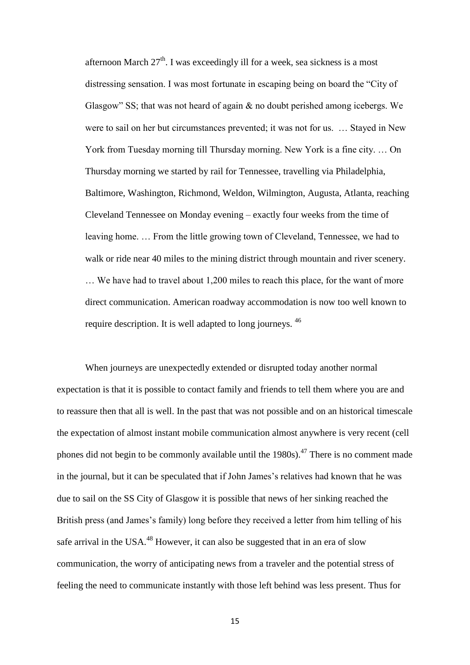afternoon March  $27<sup>th</sup>$ . I was exceedingly ill for a week, sea sickness is a most distressing sensation. I was most fortunate in escaping being on board the "City of Glasgow" SS; that was not heard of again & no doubt perished among icebergs. We were to sail on her but circumstances prevented; it was not for us. … Stayed in New York from Tuesday morning till Thursday morning. New York is a fine city. … On Thursday morning we started by rail for Tennessee, travelling via Philadelphia, Baltimore, Washington, Richmond, Weldon, Wilmington, Augusta, Atlanta, reaching Cleveland Tennessee on Monday evening – exactly four weeks from the time of leaving home. … From the little growing town of Cleveland, Tennessee, we had to walk or ride near 40 miles to the mining district through mountain and river scenery. … We have had to travel about 1,200 miles to reach this place, for the want of more direct communication. American roadway accommodation is now too well known to require description. It is well adapted to long journeys. <sup>46</sup>

When journeys are unexpectedly extended or disrupted today another normal expectation is that it is possible to contact family and friends to tell them where you are and to reassure then that all is well. In the past that was not possible and on an historical timescale the expectation of almost instant mobile communication almost anywhere is very recent (cell phones did not begin to be commonly available until the  $1980s$ ).<sup>47</sup> There is no comment made in the journal, but it can be speculated that if John James's relatives had known that he was due to sail on the SS City of Glasgow it is possible that news of her sinking reached the British press (and James's family) long before they received a letter from him telling of his safe arrival in the USA.<sup>48</sup> However, it can also be suggested that in an era of slow communication, the worry of anticipating news from a traveler and the potential stress of feeling the need to communicate instantly with those left behind was less present. Thus for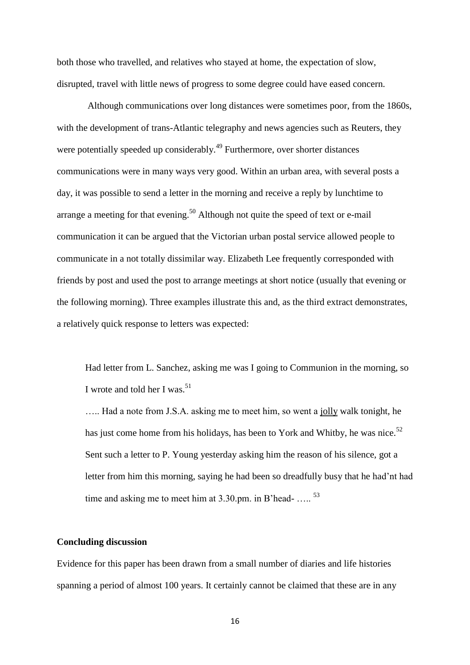both those who travelled, and relatives who stayed at home, the expectation of slow, disrupted, travel with little news of progress to some degree could have eased concern.

Although communications over long distances were sometimes poor, from the 1860s, with the development of trans-Atlantic telegraphy and news agencies such as Reuters, they were potentially speeded up considerably.<sup>49</sup> Furthermore, over shorter distances communications were in many ways very good. Within an urban area, with several posts a day, it was possible to send a letter in the morning and receive a reply by lunchtime to arrange a meeting for that evening.<sup>50</sup> Although not quite the speed of text or e-mail communication it can be argued that the Victorian urban postal service allowed people to communicate in a not totally dissimilar way. Elizabeth Lee frequently corresponded with friends by post and used the post to arrange meetings at short notice (usually that evening or the following morning). Three examples illustrate this and, as the third extract demonstrates, a relatively quick response to letters was expected:

Had letter from L. Sanchez, asking me was I going to Communion in the morning, so I wrote and told her I was.<sup>51</sup>

….. Had a note from J.S.A. asking me to meet him, so went a jolly walk tonight, he has just come home from his holidays, has been to York and Whitby, he was nice.<sup>52</sup> Sent such a letter to P. Young yesterday asking him the reason of his silence, got a letter from him this morning, saying he had been so dreadfully busy that he had'nt had time and asking me to meet him at 3.30.pm. in B'head- .....<sup>53</sup>

# **Concluding discussion**

Evidence for this paper has been drawn from a small number of diaries and life histories spanning a period of almost 100 years. It certainly cannot be claimed that these are in any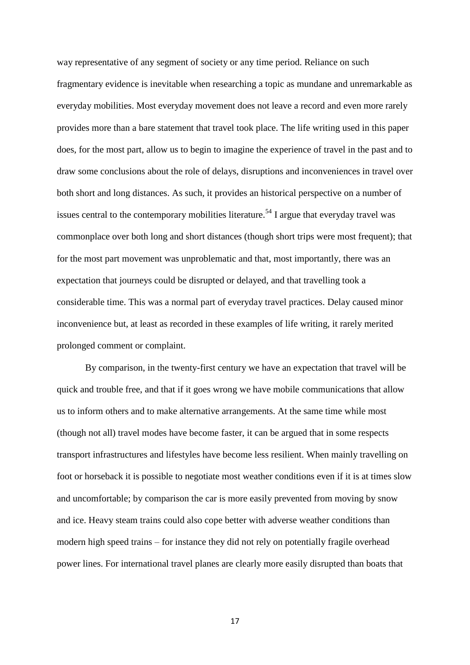way representative of any segment of society or any time period. Reliance on such fragmentary evidence is inevitable when researching a topic as mundane and unremarkable as everyday mobilities. Most everyday movement does not leave a record and even more rarely provides more than a bare statement that travel took place. The life writing used in this paper does, for the most part, allow us to begin to imagine the experience of travel in the past and to draw some conclusions about the role of delays, disruptions and inconveniences in travel over both short and long distances. As such, it provides an historical perspective on a number of issues central to the contemporary mobilities literature.<sup>54</sup> I argue that everyday travel was commonplace over both long and short distances (though short trips were most frequent); that for the most part movement was unproblematic and that, most importantly, there was an expectation that journeys could be disrupted or delayed, and that travelling took a considerable time. This was a normal part of everyday travel practices. Delay caused minor inconvenience but, at least as recorded in these examples of life writing, it rarely merited prolonged comment or complaint.

By comparison, in the twenty-first century we have an expectation that travel will be quick and trouble free, and that if it goes wrong we have mobile communications that allow us to inform others and to make alternative arrangements. At the same time while most (though not all) travel modes have become faster, it can be argued that in some respects transport infrastructures and lifestyles have become less resilient. When mainly travelling on foot or horseback it is possible to negotiate most weather conditions even if it is at times slow and uncomfortable; by comparison the car is more easily prevented from moving by snow and ice. Heavy steam trains could also cope better with adverse weather conditions than modern high speed trains – for instance they did not rely on potentially fragile overhead power lines. For international travel planes are clearly more easily disrupted than boats that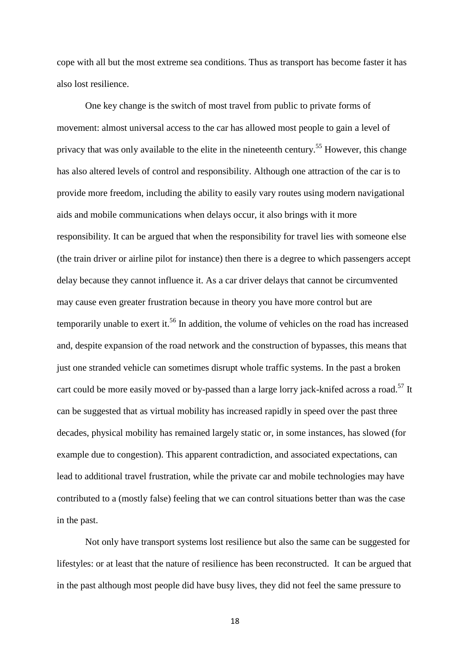cope with all but the most extreme sea conditions. Thus as transport has become faster it has also lost resilience.

One key change is the switch of most travel from public to private forms of movement: almost universal access to the car has allowed most people to gain a level of privacy that was only available to the elite in the nineteenth century.<sup>55</sup> However, this change has also altered levels of control and responsibility. Although one attraction of the car is to provide more freedom, including the ability to easily vary routes using modern navigational aids and mobile communications when delays occur, it also brings with it more responsibility. It can be argued that when the responsibility for travel lies with someone else (the train driver or airline pilot for instance) then there is a degree to which passengers accept delay because they cannot influence it. As a car driver delays that cannot be circumvented may cause even greater frustration because in theory you have more control but are temporarily unable to exert it.<sup>56</sup> In addition, the volume of vehicles on the road has increased and, despite expansion of the road network and the construction of bypasses, this means that just one stranded vehicle can sometimes disrupt whole traffic systems. In the past a broken cart could be more easily moved or by-passed than a large lorry jack-knifed across a road.<sup>57</sup> It can be suggested that as virtual mobility has increased rapidly in speed over the past three decades, physical mobility has remained largely static or, in some instances, has slowed (for example due to congestion). This apparent contradiction, and associated expectations, can lead to additional travel frustration, while the private car and mobile technologies may have contributed to a (mostly false) feeling that we can control situations better than was the case in the past.

Not only have transport systems lost resilience but also the same can be suggested for lifestyles: or at least that the nature of resilience has been reconstructed. It can be argued that in the past although most people did have busy lives, they did not feel the same pressure to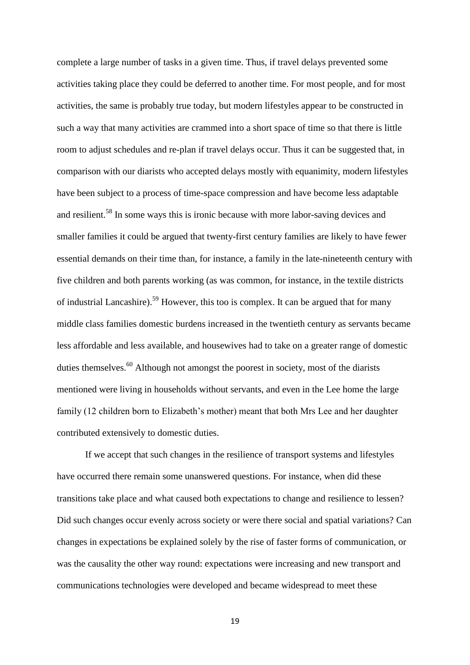complete a large number of tasks in a given time. Thus, if travel delays prevented some activities taking place they could be deferred to another time. For most people, and for most activities, the same is probably true today, but modern lifestyles appear to be constructed in such a way that many activities are crammed into a short space of time so that there is little room to adjust schedules and re-plan if travel delays occur. Thus it can be suggested that, in comparison with our diarists who accepted delays mostly with equanimity, modern lifestyles have been subject to a process of time-space compression and have become less adaptable and resilient.<sup>58</sup> In some ways this is ironic because with more labor-saving devices and smaller families it could be argued that twenty-first century families are likely to have fewer essential demands on their time than, for instance, a family in the late-nineteenth century with five children and both parents working (as was common, for instance, in the textile districts of industrial Lancashire).<sup>59</sup> However, this too is complex. It can be argued that for many middle class families domestic burdens increased in the twentieth century as servants became less affordable and less available, and housewives had to take on a greater range of domestic duties themselves. $^{60}$  Although not amongst the poorest in society, most of the diarists mentioned were living in households without servants, and even in the Lee home the large family (12 children born to Elizabeth's mother) meant that both Mrs Lee and her daughter contributed extensively to domestic duties.

If we accept that such changes in the resilience of transport systems and lifestyles have occurred there remain some unanswered questions. For instance, when did these transitions take place and what caused both expectations to change and resilience to lessen? Did such changes occur evenly across society or were there social and spatial variations? Can changes in expectations be explained solely by the rise of faster forms of communication, or was the causality the other way round: expectations were increasing and new transport and communications technologies were developed and became widespread to meet these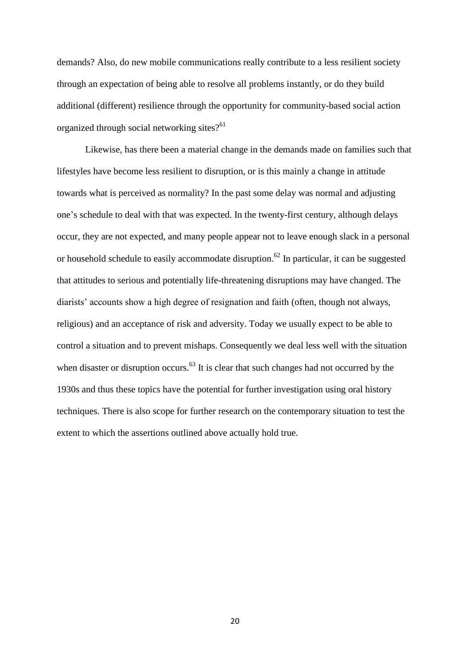demands? Also, do new mobile communications really contribute to a less resilient society through an expectation of being able to resolve all problems instantly, or do they build additional (different) resilience through the opportunity for community-based social action organized through social networking sites? $61$ 

Likewise, has there been a material change in the demands made on families such that lifestyles have become less resilient to disruption, or is this mainly a change in attitude towards what is perceived as normality? In the past some delay was normal and adjusting one's schedule to deal with that was expected. In the twenty-first century, although delays occur, they are not expected, and many people appear not to leave enough slack in a personal or household schedule to easily accommodate disruption.<sup>62</sup> In particular, it can be suggested that attitudes to serious and potentially life-threatening disruptions may have changed. The diarists' accounts show a high degree of resignation and faith (often, though not always, religious) and an acceptance of risk and adversity. Today we usually expect to be able to control a situation and to prevent mishaps. Consequently we deal less well with the situation when disaster or disruption occurs.<sup>63</sup> It is clear that such changes had not occurred by the 1930s and thus these topics have the potential for further investigation using oral history techniques. There is also scope for further research on the contemporary situation to test the extent to which the assertions outlined above actually hold true.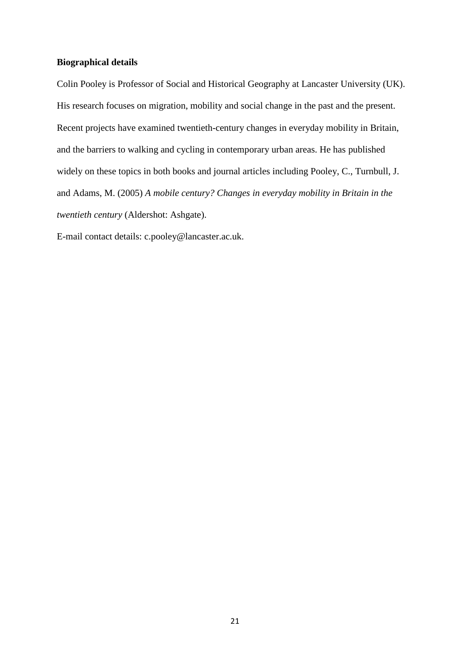# **Biographical details**

Colin Pooley is Professor of Social and Historical Geography at Lancaster University (UK). His research focuses on migration, mobility and social change in the past and the present. Recent projects have examined twentieth-century changes in everyday mobility in Britain, and the barriers to walking and cycling in contemporary urban areas. He has published widely on these topics in both books and journal articles including Pooley, C., Turnbull, J. and Adams, M. (2005) *A mobile century? Changes in everyday mobility in Britain in the twentieth century* (Aldershot: Ashgate).

E-mail contact details: c.pooley@lancaster.ac.uk.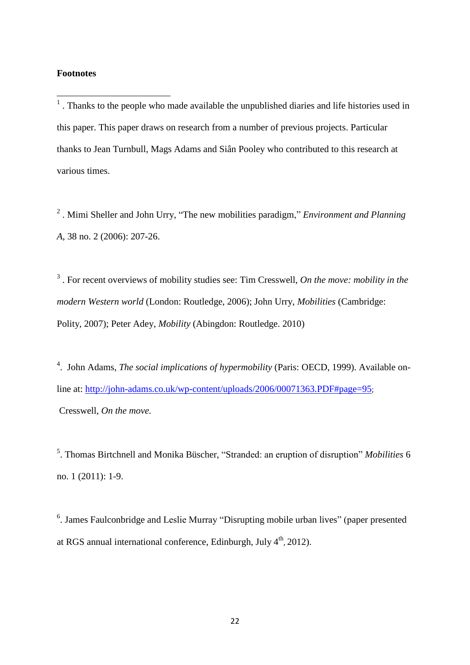# **Footnotes**

**.** 

 $<sup>1</sup>$ . Thanks to the people who made available the unpublished diaries and life histories used in</sup> this paper. This paper draws on research from a number of previous projects. Particular thanks to Jean Turnbull, Mags Adams and Siân Pooley who contributed to this research at various times.

2 . Mimi Sheller and John Urry, "The new mobilities paradigm," *Environment and Planning A*, 38 no. 2 (2006): 207-26.

3 . For recent overviews of mobility studies see: Tim Cresswell, *On the move: mobility in the modern Western world* (London: Routledge, 2006); John Urry, *Mobilities* (Cambridge: Polity, 2007); Peter Adey, *Mobility* (Abingdon: Routledge. 2010)

<sup>4</sup>. John Adams, *The social implications of hypermobility* (Paris: OECD, 1999). Available online at:<http://john-adams.co.uk/wp-content/uploads/2006/00071363.PDF#page=95>; Cresswell, *On the move.*

5 . Thomas Birtchnell and Monika Büscher, "Stranded: an eruption of disruption" *Mobilities* 6 no. 1 (2011): 1-9.

<sup>6</sup>. James Faulconbridge and Leslie Murray "Disrupting mobile urban lives" (paper presented at RGS annual international conference, Edinburgh, July 4<sup>th</sup>, 2012).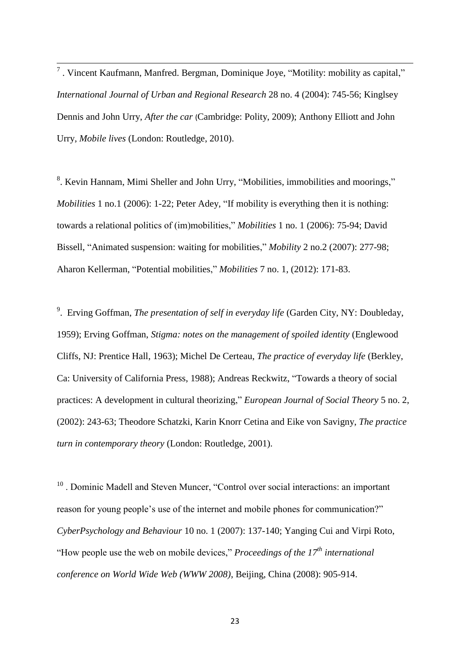<sup>7</sup> . Vincent Kaufmann, Manfred. Bergman, Dominique Joye, "Motility: mobility as capital," *International Journal of Urban and Regional Research* 28 no. 4 (2004): 745-56; Kinglsey Dennis and John Urry, *After the car* (Cambridge: Polity, 2009); Anthony Elliott and John Urry, *Mobile lives* (London: Routledge, 2010).

<sup>8</sup>. Kevin Hannam, Mimi Sheller and John Urry, "Mobilities, immobilities and moorings," *Mobilities* 1 no.1 (2006): 1-22; Peter Adey, "If mobility is everything then it is nothing: towards a relational politics of (im)mobilities," *Mobilities* 1 no. 1 (2006): 75-94; David Bissell, "Animated suspension: waiting for mobilities," *Mobility* 2 no.2 (2007): 277-98; Aharon Kellerman, "Potential mobilities," *Mobilities* 7 no. 1, (2012): 171-83.

9 . Erving Goffman, *The presentation of self in everyday life* (Garden City, NY: Doubleday, 1959); Erving Goffman, *Stigma: notes on the management of spoiled identity* (Englewood Cliffs, NJ: Prentice Hall, 1963); Michel De Certeau, *The practice of everyday life* (Berkley, Ca: University of California Press, 1988); Andreas Reckwitz, "Towards a theory of social practices: A development in cultural theorizing," *European Journal of Social Theory* 5 no. 2, (2002): 243-63; Theodore Schatzki, Karin Knorr Cetina and Eike von Savigny, *The practice turn in contemporary theory* (London: Routledge, 2001).

<sup>10</sup>. Dominic Madell and Steven Muncer, "Control over social interactions: an important reason for young people's use of the internet and mobile phones for communication?" *CyberPsychology and Behaviour* 10 no. 1 (2007): 137-140; Yanging Cui and Virpi Roto, "How people use the web on mobile devices," *Proceedings of the 17th international conference on World Wide Web (WWW 2008)*, Beijing, China (2008): 905-914.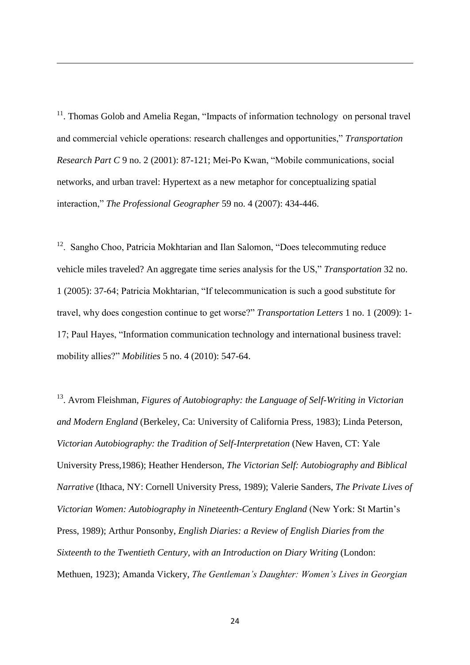<sup>11</sup>. Thomas Golob and Amelia Regan, "Impacts of information technology on personal travel and commercial vehicle operations: research challenges and opportunities," *Transportation Research Part C* 9 no. 2 (2001): 87-121; Mei-Po Kwan, "Mobile communications, social networks, and urban travel: Hypertext as a new metaphor for conceptualizing spatial interaction," *The Professional Geographer* 59 no. 4 (2007): 434-446.

1

 $12$ . Sangho Choo, Patricia Mokhtarian and Ilan Salomon, "Does telecommuting reduce vehicle miles traveled? An aggregate time series analysis for the US," *Transportation* 32 no. 1 (2005): 37-64; Patricia Mokhtarian, "If telecommunication is such a good substitute for travel, why does congestion continue to get worse?" *Transportation Letters* 1 no. 1 (2009): 1- 17; Paul Hayes, "Information communication technology and international business travel: mobility allies?" *Mobilities* 5 no. 4 (2010): 547-64.

<sup>13</sup>. Avrom Fleishman, *Figures of Autobiography: the Language of Self-Writing in Victorian and Modern England* (Berkeley, Ca: University of California Press, 1983); Linda Peterson, *Victorian Autobiography: the Tradition of Self-Interpretation* (New Haven, CT: Yale University Press,1986); Heather Henderson, *The Victorian Self: Autobiography and Biblical Narrative* (Ithaca, NY: Cornell University Press, 1989); Valerie Sanders, *The Private Lives of Victorian Women: Autobiography in Nineteenth-Century England* (New York: St Martin's Press, 1989); Arthur Ponsonby, *English Diaries: a Review of English Diaries from the Sixteenth to the Twentieth Century, with an Introduction on Diary Writing* (London: Methuen, 1923); Amanda Vickery, *The Gentleman's Daughter: Women's Lives in Georgian*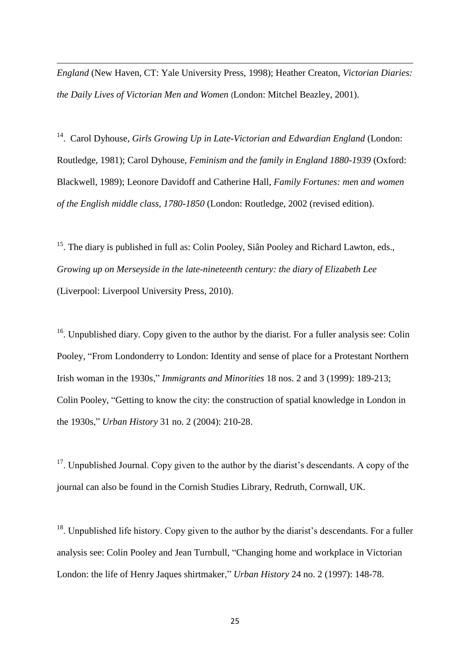*England* (New Haven, CT: Yale University Press, 1998); Heather Creaton, *Victorian Diaries: the Daily Lives of Victorian Men and Women* (London: Mitchel Beazley, 2001).

1

<sup>14</sup>. Carol Dyhouse, Girls Growing Up in Late-Victorian and Edwardian England (London: Routledge, 1981); Carol Dyhouse, *Feminism and the family in England 1880-1939* (Oxford: Blackwell, 1989); Leonore Davidoff and Catherine Hall, *Family Fortunes: men and women of the English middle class, 1780-1850* (London: Routledge, 2002 (revised edition).

 $15$ . The diary is published in full as: Colin Pooley, Siân Pooley and Richard Lawton, eds., *Growing up on Merseyside in the late-nineteenth century: the diary of Elizabeth Lee*  (Liverpool: Liverpool University Press, 2010).

 $16$ . Unpublished diary. Copy given to the author by the diarist. For a fuller analysis see: Colin Pooley, "From Londonderry to London: Identity and sense of place for a Protestant Northern Irish woman in the 1930s," *Immigrants and Minorities* 18 nos. 2 and 3 (1999): 189-213; Colin Pooley, "Getting to know the city: the construction of spatial knowledge in London in the 1930s," *Urban History* 31 no. 2 (2004): 210-28.

 $17$ . Unpublished Journal. Copy given to the author by the diarist's descendants. A copy of the journal can also be found in the Cornish Studies Library, Redruth, Cornwall, UK.

 $18$ . Unpublished life history. Copy given to the author by the diarist's descendants. For a fuller analysis see: Colin Pooley and Jean Turnbull, "Changing home and workplace in Victorian London: the life of Henry Jaques shirtmaker," *Urban History* 24 no. 2 (1997): 148-78.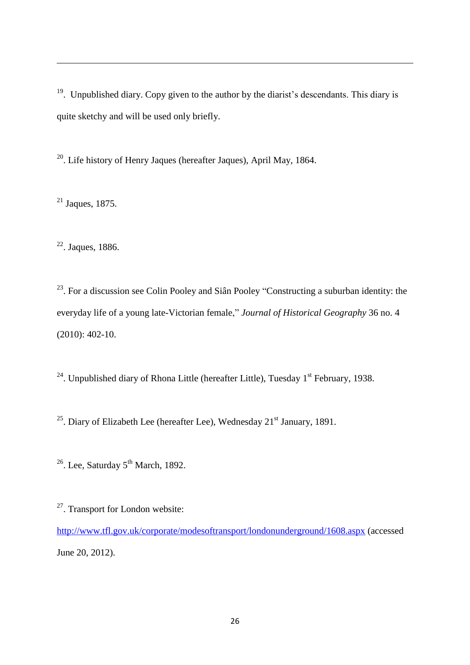<sup>19</sup>. Unpublished diary. Copy given to the author by the diarist's descendants. This diary is quite sketchy and will be used only briefly.

<sup>20</sup>. Life history of Henry Jaques (hereafter Jaques), April May, 1864.

 $21$  Jaques, 1875.

1

 $22$ . Jaques, 1886.

 $23$ . For a discussion see Colin Pooley and Siân Pooley "Constructing a suburban identity: the everyday life of a young late-Victorian female," *Journal of Historical Geography* 36 no. 4 (2010): 402-10.

<sup>24</sup>. Unpublished diary of Rhona Little (hereafter Little), Tuesday  $1<sup>st</sup>$  February, 1938.

<sup>25</sup>. Diary of Elizabeth Lee (hereafter Lee), Wednesday  $21<sup>st</sup>$  January, 1891.

 $26$ . Lee, Saturday  $5<sup>th</sup>$  March, 1892.

<sup>27</sup>. Transport for London website:

<http://www.tfl.gov.uk/corporate/modesoftransport/londonunderground/1608.aspx> (accessed June 20, 2012).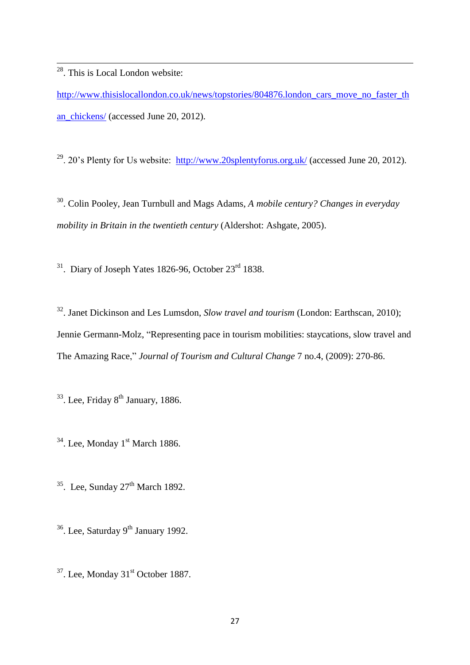<sup>28</sup>. This is Local London website:

1

[http://www.thisislocallondon.co.uk/news/topstories/804876.london\\_cars\\_move\\_no\\_faster\\_th](http://www.thisislocallondon.co.uk/news/topstories/804876.london_cars_move_no_faster_than_chickens/) [an\\_chickens/](http://www.thisislocallondon.co.uk/news/topstories/804876.london_cars_move_no_faster_than_chickens/) (accessed June 20, 2012).

<sup>29</sup>. 20's Plenty for Us website:  $\frac{http://www.20splentyforus.org.uk/}{}$  $\frac{http://www.20splentyforus.org.uk/}{}$  $\frac{http://www.20splentyforus.org.uk/}{}$  (accessed June 20, 2012).

30 . Colin Pooley, Jean Turnbull and Mags Adams, *A mobile century? Changes in everyday mobility in Britain in the twentieth century* (Aldershot: Ashgate, 2005).

 $31.$  Diary of Joseph Yates 1826-96, October  $23<sup>rd</sup>$  1838.

<sup>32</sup>. Janet Dickinson and Les Lumsdon, *Slow travel and tourism* (London: Earthscan, 2010); Jennie Germann-Molz, "Representing pace in tourism mobilities: staycations, slow travel and The Amazing Race," *Journal of Tourism and Cultural Change* 7 no.4, (2009): 270-86.

<sup>33</sup>. Lee, Friday 8<sup>th</sup> January, 1886.

 $34$ . Lee, Monday 1<sup>st</sup> March 1886.

 $35$ . Lee, Sunday  $27<sup>th</sup>$  March 1892.

 $36$ . Lee, Saturday 9<sup>th</sup> January 1992.

 $37$ . Lee, Monday  $31<sup>st</sup>$  October 1887.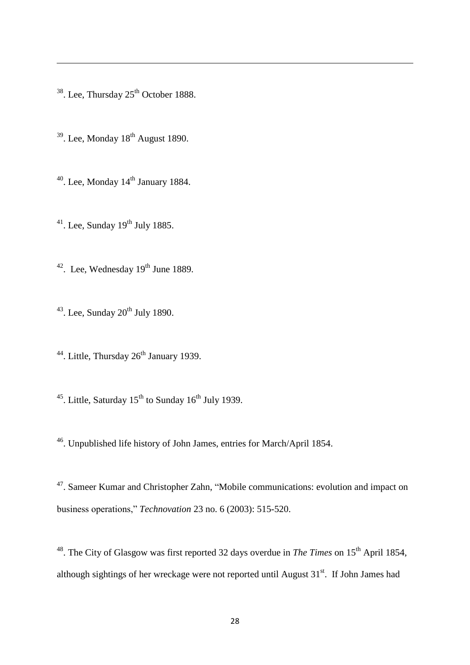. Lee, Thursday  $25<sup>th</sup>$  October 1888.

- . Lee, Monday  $18<sup>th</sup>$  August 1890.
- . Lee, Monday  $14<sup>th</sup>$  January 1884.
- . Lee, Sunday 19<sup>th</sup> July 1885.
- . Lee, Wednesday  $19<sup>th</sup>$  June 1889.
- . Lee, Sunday  $20<sup>th</sup>$  July 1890.
- <sup>44</sup>. Little, Thursday  $26<sup>th</sup>$  January 1939.
- <sup>45</sup>. Little, Saturday  $15^{th}$  to Sunday  $16^{th}$  July 1939.
- . Unpublished life history of John James, entries for March/April 1854.

. Sameer Kumar and Christopher Zahn, "Mobile communications: evolution and impact on business operations," *Technovation* 23 no. 6 (2003): 515-520.

<sup>48</sup>. The City of Glasgow was first reported 32 days overdue in *The Times* on 15<sup>th</sup> April 1854, although sightings of her wreckage were not reported until August  $31<sup>st</sup>$ . If John James had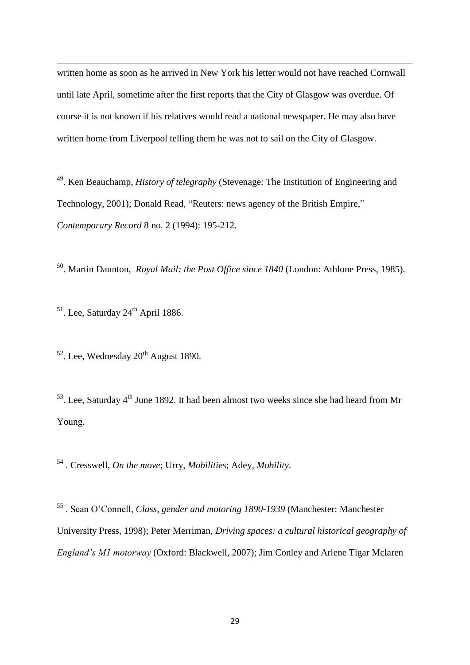written home as soon as he arrived in New York his letter would not have reached Cornwall until late April, sometime after the first reports that the City of Glasgow was overdue. Of course it is not known if his relatives would read a national newspaper. He may also have written home from Liverpool telling them he was not to sail on the City of Glasgow.

<sup>49</sup>. Ken Beauchamp, *History of telegraphy* (Stevenage: The Institution of Engineering and Technology, 2001); Donald Read, "Reuters: news agency of the British Empire," *Contemporary Record* 8 no. 2 (1994): 195-212.

<sup>50</sup>. Martin Daunton, *Royal Mail: the Post Office since 1840* (London: Athlone Press, 1985).

 $51$ . Lee, Saturday  $24<sup>th</sup>$  April 1886.

1

 $52$ . Lee, Wednesday  $20<sup>th</sup>$  August 1890.

 $53$ . Lee, Saturday 4<sup>th</sup> June 1892. It had been almost two weeks since she had heard from Mr Young.

<sup>54</sup> . Cresswell, *On the move*; Urry, *Mobilities*; Adey, *Mobility*.

<sup>55</sup> . Sean O'Connell, *Class, gender and motoring 1890-1939* (Manchester: Manchester University Press, 1998); Peter Merriman, *Driving spaces: a cultural historical geography of England's M1 motorway* (Oxford: Blackwell, 2007); Jim Conley and Arlene Tigar Mclaren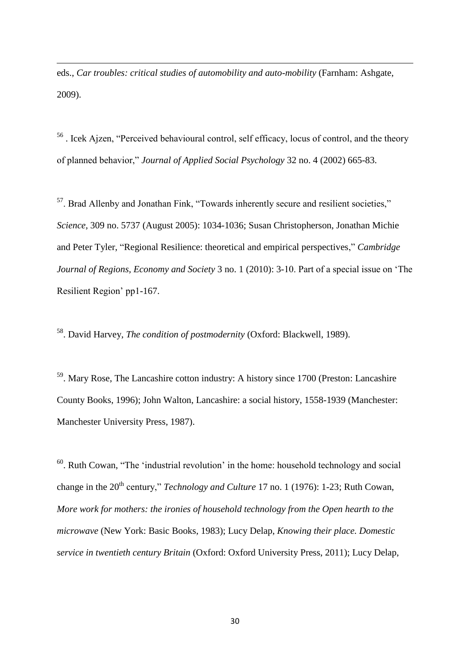eds., *Car troubles: critical studies of automobility and auto-mobility* (Farnham: Ashgate, 2009).

1

<sup>56</sup>. Icek Ajzen, "Perceived behavioural control, self efficacy, locus of control, and the theory of planned behavior," *Journal of Applied Social Psychology* 32 no. 4 (2002) 665-83.

<sup>57</sup>. Brad Allenby and Jonathan Fink, "Towards inherently secure and resilient societies," *Science,* 309 no. 5737 (August 2005): 1034-1036; Susan Christopherson, Jonathan Michie and Peter Tyler, "Regional Resilience: theoretical and empirical perspectives," *Cambridge Journal of Regions, Economy and Society* 3 no. 1 (2010): 3-10. Part of a special issue on 'The Resilient Region' pp1-167.

<sup>58</sup>. David Harvey, *The condition of postmodernity* (Oxford: Blackwell, 1989).

<sup>59</sup>. Mary Rose, The Lancashire cotton industry: A history since 1700 (Preston: Lancashire County Books, 1996); John Walton, Lancashire: a social history, 1558-1939 (Manchester: Manchester University Press, 1987).

 $60$ . Ruth Cowan, "The 'industrial revolution' in the home: household technology and social change in the 20<sup>th</sup> century," *Technology and Culture* 17 no. 1 (1976): 1-23; Ruth Cowan, *More work for mothers: the ironies of household technology from the Open hearth to the microwave* (New York: Basic Books, 1983); Lucy Delap, *Knowing their place. Domestic service in twentieth century Britain* (Oxford: Oxford University Press, 2011); Lucy Delap,